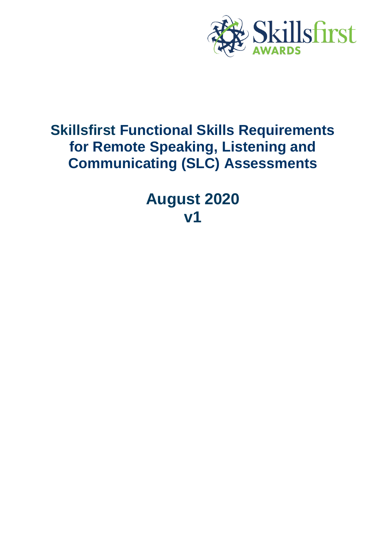

# **Skillsfirst Functional Skills Requirements for Remote Speaking, Listening and Communicating (SLC) Assessments**

**August 2020 v1**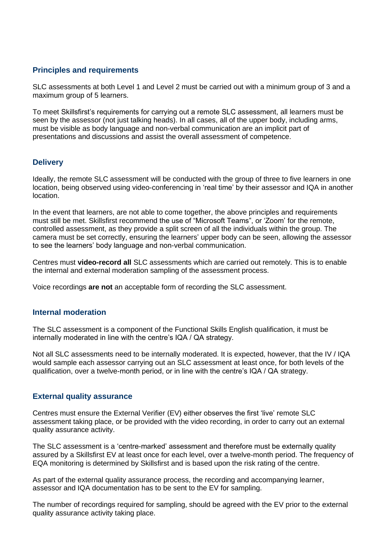## **Principles and requirements**

SLC assessments at both Level 1 and Level 2 must be carried out with a minimum group of 3 and a maximum group of 5 learners.

To meet Skillsfirst's requirements for carrying out a remote SLC assessment, all learners must be seen by the assessor (not just talking heads). In all cases, all of the upper body, including arms, must be visible as body language and non-verbal communication are an implicit part of presentations and discussions and assist the overall assessment of competence.

### **Delivery**

Ideally, the remote SLC assessment will be conducted with the group of three to five learners in one location, being observed using video-conferencing in 'real time' by their assessor and IQA in another location.

In the event that learners, are not able to come together, the above principles and requirements must still be met. Skillsfirst recommend the use of "Microsoft Teams", or 'Zoom' for the remote, controlled assessment, as they provide a split screen of all the individuals within the group. The camera must be set correctly, ensuring the learners' upper body can be seen, allowing the assessor to see the learners' body language and non-verbal communication.

Centres must **video-record all** SLC assessments which are carried out remotely. This is to enable the internal and external moderation sampling of the assessment process.

Voice recordings **are not** an acceptable form of recording the SLC assessment.

#### **Internal moderation**

The SLC assessment is a component of the Functional Skills English qualification, it must be internally moderated in line with the centre's IQA / QA strategy.

Not all SLC assessments need to be internally moderated. It is expected, however, that the IV / IQA would sample each assessor carrying out an SLC assessment at least once, for both levels of the qualification, over a twelve-month period, or in line with the centre's IQA / QA strategy.

#### **External quality assurance**

Centres must ensure the External Verifier (EV) either observes the first 'live' remote SLC assessment taking place, or be provided with the video recording, in order to carry out an external quality assurance activity.

The SLC assessment is a 'centre-marked' assessment and therefore must be externally quality assured by a Skillsfirst EV at least once for each level, over a twelve-month period. The frequency of EQA monitoring is determined by Skillsfirst and is based upon the risk rating of the centre.

As part of the external quality assurance process, the recording and accompanying learner, assessor and IQA documentation has to be sent to the EV for sampling.

The number of recordings required for sampling, should be agreed with the EV prior to the external quality assurance activity taking place.